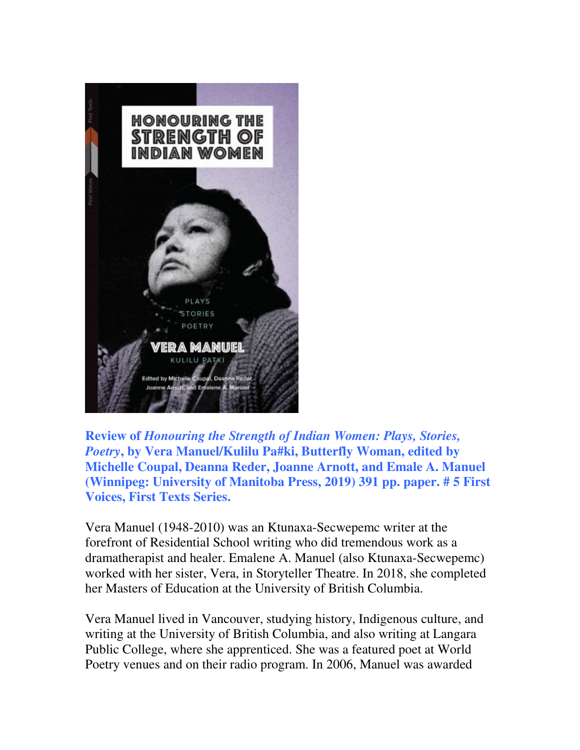

**Review of** *Honouring the Strength of Indian Women: Plays, Stories, Poetry***, by Vera Manuel/Kulilu Pa#ki, Butterfly Woman, edited by Michelle Coupal, Deanna Reder, Joanne Arnott, and Emale A. Manuel (Winnipeg: University of Manitoba Press, 2019) 391 pp. paper. # 5 First Voices, First Texts Series.** 

Vera Manuel (1948-2010) was an Ktunaxa-Secwepemc writer at the forefront of Residential School writing who did tremendous work as a dramatherapist and healer. Emalene A. Manuel (also Ktunaxa-Secwepemc) worked with her sister, Vera, in Storyteller Theatre. In 2018, she completed her Masters of Education at the University of British Columbia.

Vera Manuel lived in Vancouver, studying history, Indigenous culture, and writing at the University of British Columbia, and also writing at Langara Public College, where she apprenticed. She was a featured poet at World Poetry venues and on their radio program. In 2006, Manuel was awarded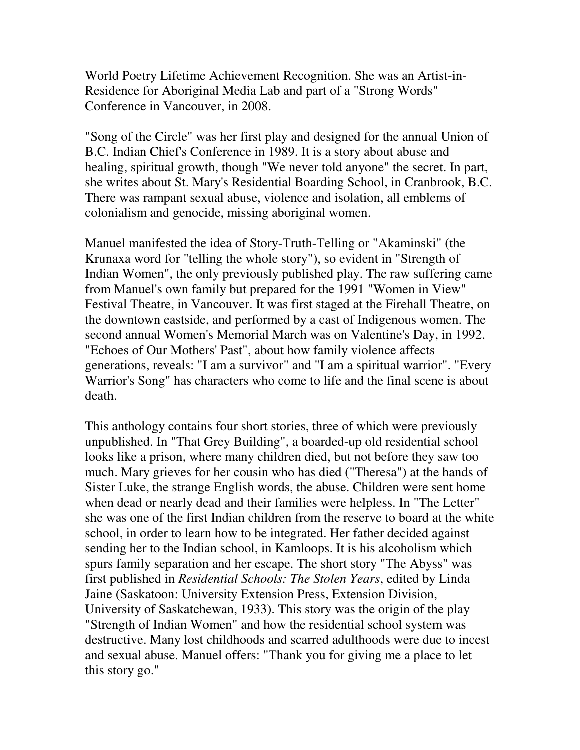World Poetry Lifetime Achievement Recognition. She was an Artist-in-Residence for Aboriginal Media Lab and part of a "Strong Words" Conference in Vancouver, in 2008.

"Song of the Circle" was her first play and designed for the annual Union of B.C. Indian Chief's Conference in 1989. It is a story about abuse and healing, spiritual growth, though "We never told anyone" the secret. In part, she writes about St. Mary's Residential Boarding School, in Cranbrook, B.C. There was rampant sexual abuse, violence and isolation, all emblems of colonialism and genocide, missing aboriginal women.

Manuel manifested the idea of Story-Truth-Telling or "Akaminski" (the Krunaxa word for "telling the whole story"), so evident in "Strength of Indian Women", the only previously published play. The raw suffering came from Manuel's own family but prepared for the 1991 "Women in View" Festival Theatre, in Vancouver. It was first staged at the Firehall Theatre, on the downtown eastside, and performed by a cast of Indigenous women. The second annual Women's Memorial March was on Valentine's Day, in 1992. "Echoes of Our Mothers' Past", about how family violence affects generations, reveals: "I am a survivor" and "I am a spiritual warrior". "Every Warrior's Song" has characters who come to life and the final scene is about death.

This anthology contains four short stories, three of which were previously unpublished. In "That Grey Building", a boarded-up old residential school looks like a prison, where many children died, but not before they saw too much. Mary grieves for her cousin who has died ("Theresa") at the hands of Sister Luke, the strange English words, the abuse. Children were sent home when dead or nearly dead and their families were helpless. In "The Letter" she was one of the first Indian children from the reserve to board at the white school, in order to learn how to be integrated. Her father decided against sending her to the Indian school, in Kamloops. It is his alcoholism which spurs family separation and her escape. The short story "The Abyss" was first published in *Residential Schools: The Stolen Years*, edited by Linda Jaine (Saskatoon: University Extension Press, Extension Division, University of Saskatchewan, 1933). This story was the origin of the play "Strength of Indian Women" and how the residential school system was destructive. Many lost childhoods and scarred adulthoods were due to incest and sexual abuse. Manuel offers: "Thank you for giving me a place to let this story go."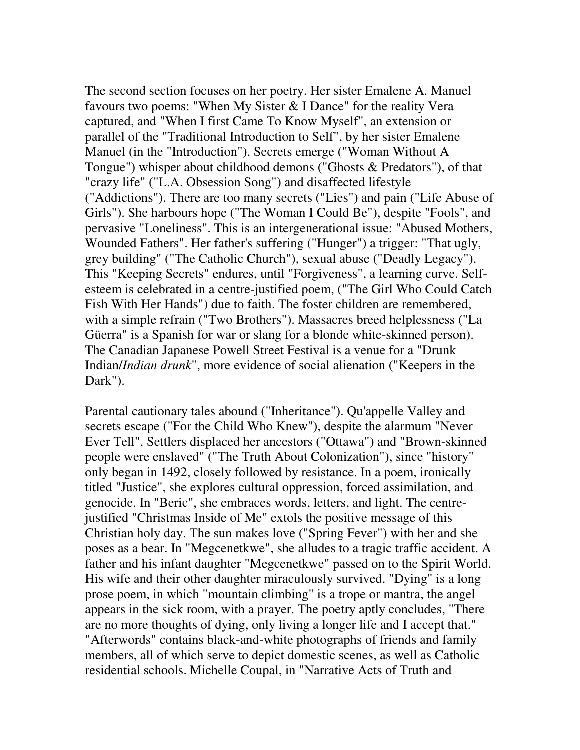The second section focuses on her poetry. Her sister Emalene A. Manuel favours two poems: "When My Sister & I Dance" for the reality Vera captured, and "When I first Came To Know Myself", an extension or parallel of the "Traditional Introduction to Self", by her sister Emalene Manuel (in the "Introduction"). Secrets emerge ("Woman Without A Tongue") whisper about childhood demons ("Ghosts & Predators"), of that "crazy life" ("L.A. Obsession Song") and disaffected lifestyle ("Addictions"). There are too many secrets ("Lies") and pain ("Life Abuse of Girls"). She harbours hope ("The Woman I Could Be"), despite "Fools", and pervasive "Loneliness". This is an intergenerational issue: "Abused Mothers, Wounded Fathers". Her father's suffering ("Hunger") a trigger: "That ugly, grey building" ("The Catholic Church"), sexual abuse ("Deadly Legacy"). This "Keeping Secrets" endures, until "Forgiveness", a learning curve. Selfesteem is celebrated in a centre-justified poem, ("The Girl Who Could Catch Fish With Her Hands") due to faith. The foster children are remembered, with a simple refrain ("Two Brothers"). Massacres breed helplessness ("La Güerra" is a Spanish for war or slang for a blonde white-skinned person). The Canadian Japanese Powell Street Festival is a venue for a "Drunk Indian/*Indian drunk*", more evidence of social alienation ("Keepers in the Dark").

Parental cautionary tales abound ("Inheritance"). Qu'appelle Valley and secrets escape ("For the Child Who Knew"), despite the alarmum "Never Ever Tell". Settlers displaced her ancestors ("Ottawa") and "Brown-skinned people were enslaved" ("The Truth About Colonization"), since "history" only began in 1492, closely followed by resistance. In a poem, ironically titled "Justice", she explores cultural oppression, forced assimilation, and genocide. In "Beric", she embraces words, letters, and light. The centrejustified "Christmas Inside of Me" extols the positive message of this Christian holy day. The sun makes love ("Spring Fever") with her and she poses as a bear. In "Megcenetkwe", she alludes to a tragic traffic accident. A father and his infant daughter "Megcenetkwe" passed on to the Spirit World. His wife and their other daughter miraculously survived. "Dying" is a long prose poem, in which "mountain climbing" is a trope or mantra, the angel appears in the sick room, with a prayer. The poetry aptly concludes, "There are no more thoughts of dying, only living a longer life and I accept that." "Afterwords" contains black-and-white photographs of friends and family members, all of which serve to depict domestic scenes, as well as Catholic residential schools. Michelle Coupal, in "Narrative Acts of Truth and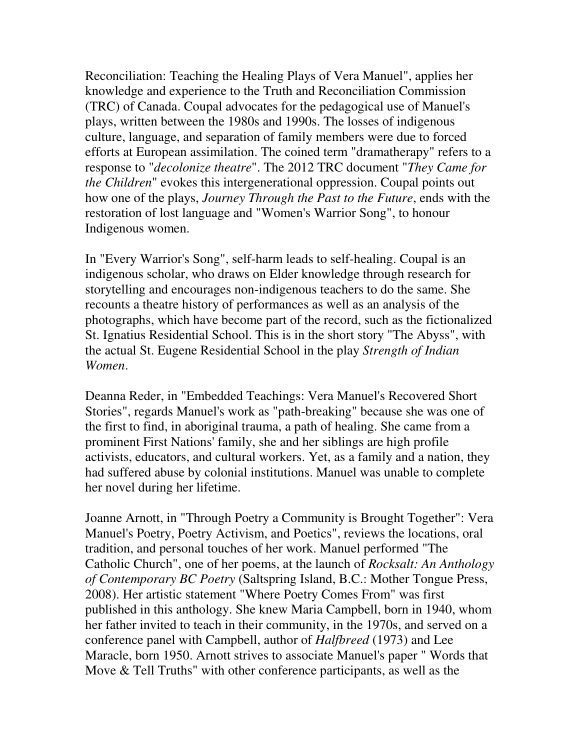Reconciliation: Teaching the Healing Plays of Vera Manuel", applies her knowledge and experience to the Truth and Reconciliation Commission (TRC) of Canada. Coupal advocates for the pedagogical use of Manuel's plays, written between the 1980s and 1990s. The losses of indigenous culture, language, and separation of family members were due to forced efforts at European assimilation. The coined term "dramatherapy" refers to a response to "*decolonize theatre*". The 2012 TRC document "*They Came for the Children*" evokes this intergenerational oppression. Coupal points out how one of the plays, *Journey Through the Past to the Future*, ends with the restoration of lost language and "Women's Warrior Song", to honour Indigenous women.

In "Every Warrior's Song", self-harm leads to self-healing. Coupal is an indigenous scholar, who draws on Elder knowledge through research for storytelling and encourages non-indigenous teachers to do the same. She recounts a theatre history of performances as well as an analysis of the photographs, which have become part of the record, such as the fictionalized St. Ignatius Residential School. This is in the short story "The Abyss", with the actual St. Eugene Residential School in the play *Strength of Indian Women*.

Deanna Reder, in "Embedded Teachings: Vera Manuel's Recovered Short Stories", regards Manuel's work as "path-breaking" because she was one of the first to find, in aboriginal trauma, a path of healing. She came from a prominent First Nations' family, she and her siblings are high profile activists, educators, and cultural workers. Yet, as a family and a nation, they had suffered abuse by colonial institutions. Manuel was unable to complete her novel during her lifetime.

Joanne Arnott, in "Through Poetry a Community is Brought Together": Vera Manuel's Poetry, Poetry Activism, and Poetics", reviews the locations, oral tradition, and personal touches of her work. Manuel performed "The Catholic Church", one of her poems, at the launch of *Rocksalt: An Anthology of Contemporary BC Poetry* (Saltspring Island, B.C.: Mother Tongue Press, 2008). Her artistic statement "Where Poetry Comes From" was first published in this anthology. She knew Maria Campbell, born in 1940, whom her father invited to teach in their community, in the 1970s, and served on a conference panel with Campbell, author of *Halfbreed* (1973) and Lee Maracle, born 1950. Arnott strives to associate Manuel's paper " Words that Move & Tell Truths" with other conference participants, as well as the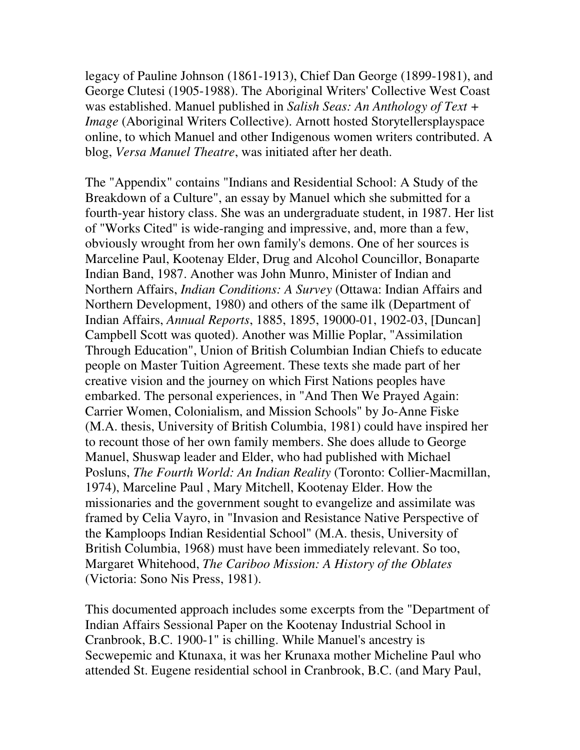legacy of Pauline Johnson (1861-1913), Chief Dan George (1899-1981), and George Clutesi (1905-1988). The Aboriginal Writers' Collective West Coast was established. Manuel published in *Salish Seas: An Anthology of Text + Image* (Aboriginal Writers Collective). Arnott hosted Storytellersplayspace online, to which Manuel and other Indigenous women writers contributed. A blog, *Versa Manuel Theatre*, was initiated after her death.

The "Appendix" contains "Indians and Residential School: A Study of the Breakdown of a Culture", an essay by Manuel which she submitted for a fourth-year history class. She was an undergraduate student, in 1987. Her list of "Works Cited" is wide-ranging and impressive, and, more than a few, obviously wrought from her own family's demons. One of her sources is Marceline Paul, Kootenay Elder, Drug and Alcohol Councillor, Bonaparte Indian Band, 1987. Another was John Munro, Minister of Indian and Northern Affairs, *Indian Conditions: A Survey* (Ottawa: Indian Affairs and Northern Development, 1980) and others of the same ilk (Department of Indian Affairs, *Annual Reports*, 1885, 1895, 19000-01, 1902-03, [Duncan] Campbell Scott was quoted). Another was Millie Poplar, "Assimilation Through Education", Union of British Columbian Indian Chiefs to educate people on Master Tuition Agreement. These texts she made part of her creative vision and the journey on which First Nations peoples have embarked. The personal experiences, in "And Then We Prayed Again: Carrier Women, Colonialism, and Mission Schools" by Jo-Anne Fiske (M.A. thesis, University of British Columbia, 1981) could have inspired her to recount those of her own family members. She does allude to George Manuel, Shuswap leader and Elder, who had published with Michael Posluns, *The Fourth World: An Indian Reality* (Toronto: Collier-Macmillan, 1974), Marceline Paul , Mary Mitchell, Kootenay Elder. How the missionaries and the government sought to evangelize and assimilate was framed by Celia Vayro, in "Invasion and Resistance Native Perspective of the Kamploops Indian Residential School" (M.A. thesis, University of British Columbia, 1968) must have been immediately relevant. So too, Margaret Whitehood, *The Cariboo Mission: A History of the Oblates* (Victoria: Sono Nis Press, 1981).

This documented approach includes some excerpts from the "Department of Indian Affairs Sessional Paper on the Kootenay Industrial School in Cranbrook, B.C. 1900-1" is chilling. While Manuel's ancestry is Secwepemic and Ktunaxa, it was her Krunaxa mother Micheline Paul who attended St. Eugene residential school in Cranbrook, B.C. (and Mary Paul,